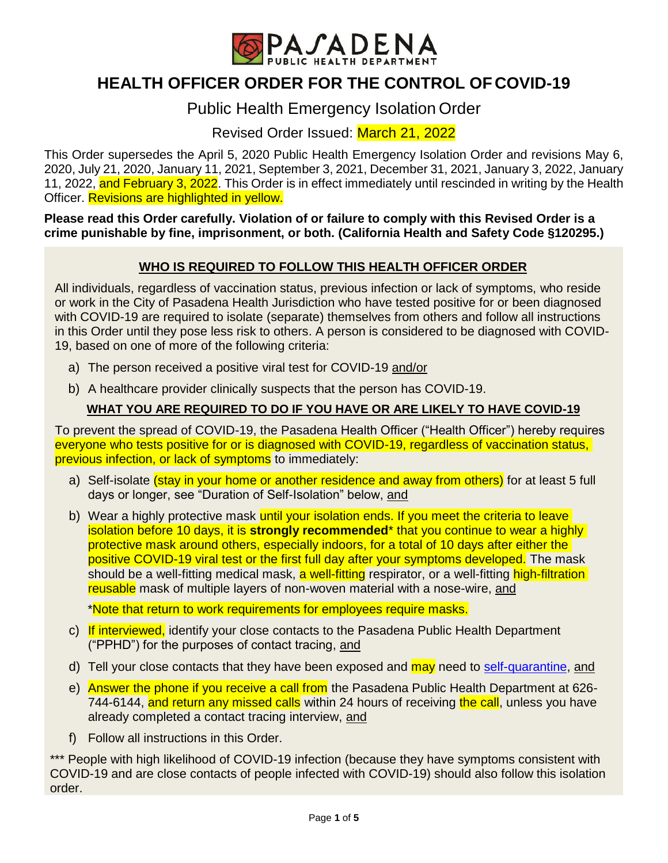

# **HEALTH OFFICER ORDER FOR THE CONTROL OF COVID-19**

# Public Health Emergency Isolation Order

Revised Order Issued: March 21, 2022

This Order supersedes the April 5, 2020 Public Health Emergency Isolation Order and revisions May 6, 2020, July 21, 2020, January 11, 2021, September 3, 2021, December 31, 2021, January 3, 2022, January 11, 2022, and February 3, 2022. This Order is in effect immediately until rescinded in writing by the Health Officer. Revisions are highlighted in yellow.

**Please read this Order carefully. Violation of or failure to comply with this Revised Order is a crime punishable by fine, imprisonment, or both. (California Health and Safety Code §120295.)**

# **WHO IS REQUIRED TO FOLLOW THIS HEALTH OFFICER ORDER**

All individuals, regardless of vaccination status, previous infection or lack of symptoms, who reside or work in the City of Pasadena Health Jurisdiction who have tested positive for or been diagnosed with COVID-19 are required to isolate (separate) themselves from others and follow all instructions in this Order until they pose less risk to others. A person is considered to be diagnosed with COVID-19, based on one of more of the following criteria:

- a) The person received a positive viral test for COVID-19 and/or
- b) A healthcare provider clinically suspects that the person has COVID-19.

#### **WHAT YOU ARE REQUIRED TO DO IF YOU HAVE OR ARE LIKELY TO HAVE COVID-19**

To prevent the spread of COVID-19, the Pasadena Health Officer ("Health Officer") hereby requires everyone who tests positive for or is diagnosed with COVID-19, regardless of vaccination status, previous infection, or lack of symptoms to immediately:

- a) Self-isolate *(stay in your home or another residence and away from others)* for at least 5 full days or longer, see "Duration of Self-Isolation" below, and
- b) Wear a highly protective mask until your isolation ends. If you meet the criteria to leave isolation before 10 days, it is **strongly recommended**\* that you continue to wear a highly protective mask around others, especially indoors, for a total of 10 days after either the positive COVID-19 viral test or the first full day after your symptoms developed. The mask should be a well-fitting medical mask, a well-fitting respirator, or a well-fitting high-filtration reusable mask of multiple layers of non-woven material with a nose-wire, and

\*Note that return to work requirements for employees require masks.

- c) If interviewed, identify your close contacts to the Pasadena Public Health Department ("PPHD") for the purposes of contact tracing, and
- d) Tell your close contacts that they have been exposed and may need to [self-quarantine,](https://www.cityofpasadena.net/public-health/wp-content/uploads/sites/32/Quarantine.pdf) and
- e) Answer the phone if you receive a call from the Pasadena Public Health Department at 626-744-6144, and return any missed calls within 24 hours of receiving the call, unless you have already completed a contact tracing interview, and
- f) Follow all instructions in this Order.

\*\*\* People with high likelihood of COVID-19 infection (because they have symptoms consistent with COVID-19 and are close contacts of people infected with COVID-19) should also follow this isolation order.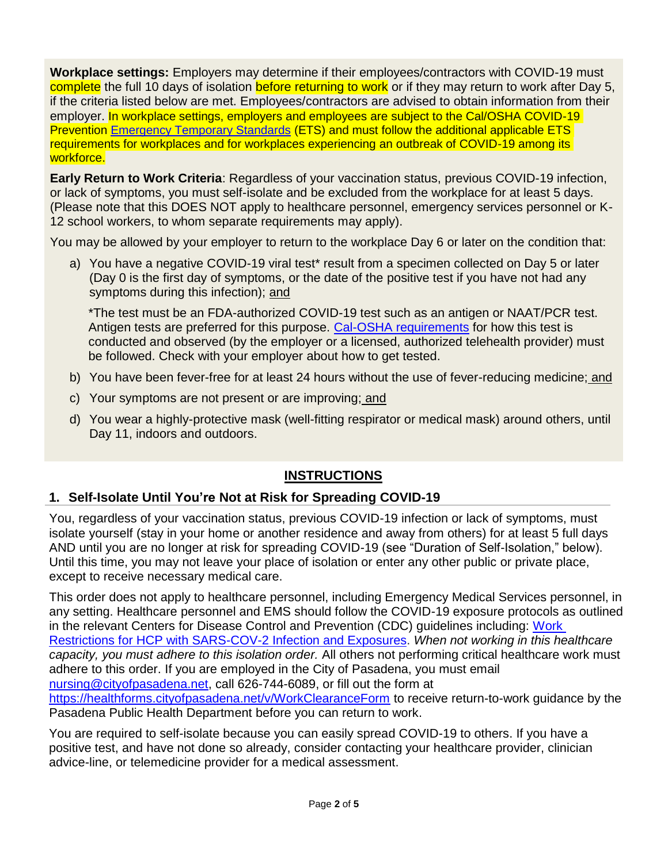**Workplace settings:** Employers may determine if their employees/contractors with COVID-19 must complete the full 10 days of isolation before returning to work or if they may return to work after Day 5, if the criteria listed below are met. Employees/contractors are advised to obtain information from their employer. In workplace settings, employers and employees are subject to the Cal/OSHA COVID-19 Prevention [Emergency Temporary Standards](https://www.dir.ca.gov/dosh/coronavirus/ETS.html) (ETS) and must follow the additional applicable ETS requirements for workplaces and for workplaces experiencing an outbreak of COVID-19 among its workforce.

**Early Return to Work Criteria**: Regardless of your vaccination status, previous COVID-19 infection, or lack of symptoms, you must self-isolate and be excluded from the workplace for at least 5 days. (Please note that this DOES NOT apply to healthcare personnel, emergency services personnel or K-12 school workers, to whom separate requirements may apply).

You may be allowed by your employer to return to the workplace Day 6 or later on the condition that:

a) You have a negative COVID-19 viral test\* result from a specimen collected on Day 5 or later (Day 0 is the first day of symptoms, or the date of the positive test if you have not had any symptoms during this infection); and

\*The test must be an FDA-authorized COVID-19 test such as an antigen or NAAT/PCR test. Antigen tests are preferred for this purpose. [Cal-OSHA requirements](https://www.dir.ca.gov/dosh/coronavirus/covid19faqs.html#testing) for how this test is conducted and observed (by the employer or a licensed, authorized telehealth provider) must be followed. Check with your employer about how to get tested.

- b) You have been fever-free for at least 24 hours without the use of fever-reducing medicine; and
- c) Your symptoms are not present or are improving; and
- d) You wear a highly-protective mask (well-fitting respirator or medical mask) around others, until Day 11, indoors and outdoors.

# **INSTRUCTIONS**

# **1. Self-Isolate Until You're Not at Risk for Spreading COVID-19**

You, regardless of your vaccination status, previous COVID-19 infection or lack of symptoms, must isolate yourself (stay in your home or another residence and away from others) for at least 5 full days AND until you are no longer at risk for spreading COVID-19 (see "Duration of Self-Isolation," below). Until this time, you may not leave your place of isolation or enter any other public or private place, except to receive necessary medical care.

This order does not apply to healthcare personnel, including Emergency Medical Services personnel, in any setting. Healthcare personnel and EMS should follow the COVID-19 exposure protocols as outlined in the relevant Centers for Disease Control and Prevention (CDC) guidelines including: [Work](https://www.cdc.gov/coronavirus/2019-ncov/images/hcp/WorkRestrictionsHCP.jpg?_=99432)  [Restrictions for HCP with SARS-COV-2 Infection and Exposures.](https://www.cdc.gov/coronavirus/2019-ncov/images/hcp/WorkRestrictionsHCP.jpg?_=99432) *When not working in this healthcare capacity, you must adhere to this isolation order.* All others not performing critical healthcare work must adhere to this order. If you are employed in the City of Pasadena, you must email [nursing@cityofpasadena.net,](mailto:nursing@cityofpasadena.net) call 626-744-6089, or fill out the form at <https://healthforms.cityofpasadena.net/v/WorkClearanceForm> to receive return-to-work guidance by the Pasadena Public Health Department before you can return to work.

You are required to self-isolate because you can easily spread COVID-19 to others. If you have a positive test, and have not done so already, consider contacting your healthcare provider, clinician advice-line, or telemedicine provider for a medical assessment.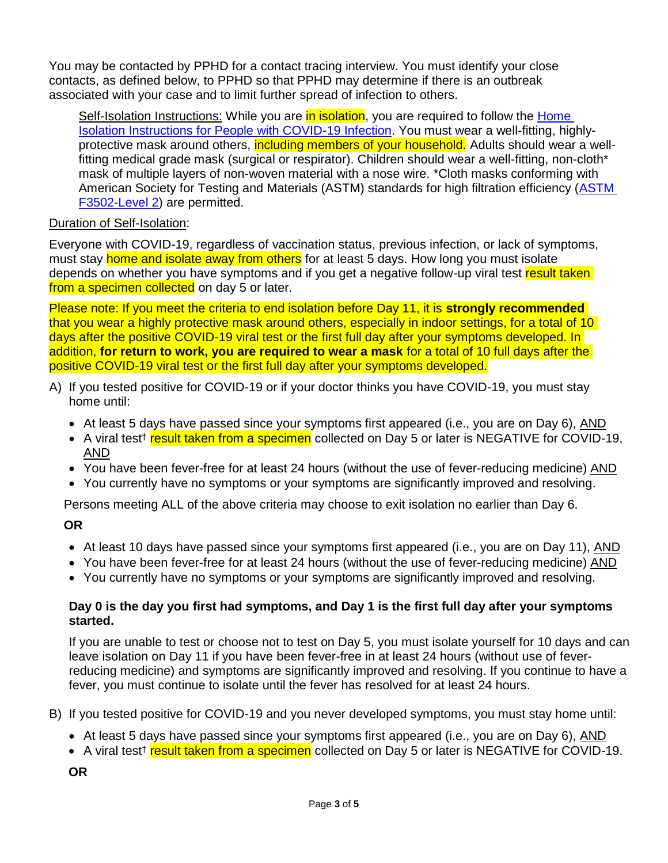You may be contacted by PPHD for a contact tracing interview. You must identify your close contacts, as defined below, to PPHD so that PPHD may determine if there is an outbreak associated with your case and to limit further spread of infection to others.

Self-Isolation Instructions: While you are in *isolation*, you are required to follow the Home [Isolation Instructions for People with COVID-19 Infection.](https://www.cityofpasadena.net/public-health/wp-content/uploads/sites/32/Home-Isolation-Instructions.pdf) You must wear a well-fitting, highlyprotective mask around others, including members of your household. Adults should wear a wellfitting medical grade mask (surgical or respirator). Children should wear a well-fitting, non-cloth\* mask of multiple layers of non-woven material with a nose wire. \*Cloth masks conforming with American Society for Testing and Materials (ASTM) standards for high filtration efficiency [\(ASTM](https://wwwn.cdc.gov/PPEInfo/RG/FaceCoverings)  [F3502-Level 2\)](https://wwwn.cdc.gov/PPEInfo/RG/FaceCoverings) are permitted.

# Duration of Self-Isolation:

Everyone with COVID-19, regardless of vaccination status, previous infection, or lack of symptoms, must stay home and isolate away from others for at least 5 days. How long you must isolate depends on whether you have symptoms and if you get a negative follow-up viral test result taken from a specimen collected on day 5 or later.

Please note: If you meet the criteria to end isolation before Day 11, it is **strongly recommended** that you wear a highly protective mask around others, especially in indoor settings, for a total of 10 days after the positive COVID-19 viral test or the first full day after your symptoms developed. In addition, **for return to work, you are required to wear a mask** for a total of 10 full days after the positive COVID-19 viral test or the first full day after your symptoms developed.

- A) If you tested positive for COVID-19 or if your doctor thinks you have COVID-19, you must stay home until:
	- $\bullet$  At least 5 days have passed since your symptoms first appeared (i.e., you are on Day 6), AND
	- A viral test<sup>†</sup> result taken from a specimen collected on Day 5 or later is NEGATIVE for COVID-19, AND
	- You have been fever-free for at least 24 hours (without the use of fever-reducing medicine) AND
	- You currently have no symptoms or your symptoms are significantly improved and resolving.

Persons meeting ALL of the above criteria may choose to exit isolation no earlier than Day 6.

#### **OR**

- At least 10 days have passed since your symptoms first appeared (i.e., you are on Day 11), AND
- You have been fever-free for at least 24 hours (without the use of fever-reducing medicine) AND
- You currently have no symptoms or your symptoms are significantly improved and resolving.

#### **Day 0 is the day you first had symptoms, and Day 1 is the first full day after your symptoms started.**

If you are unable to test or choose not to test on Day 5, you must isolate yourself for 10 days and can leave isolation on Day 11 if you have been fever-free in at least 24 hours (without use of feverreducing medicine) and symptoms are significantly improved and resolving. If you continue to have a fever, you must continue to isolate until the fever has resolved for at least 24 hours.

B) If you tested positive for COVID-19 and you never developed symptoms, you must stay home until:

- At least 5 days have passed since your symptoms first appeared (i.e., you are on Day 6), AND
- A viral test<sup>†</sup> result taken from a specimen collected on Day 5 or later is NEGATIVE for COVID-19.
- **OR**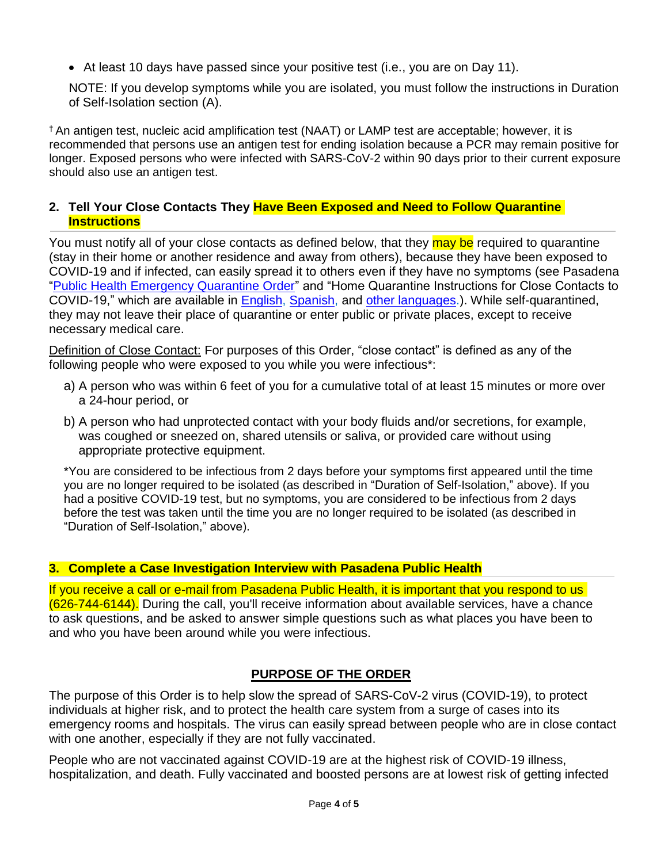• At least 10 days have passed since your positive test (i.e., you are on Day 11).

NOTE: If you develop symptoms while you are isolated, you must follow the instructions in Duration of Self-Isolation section (A).

† An antigen test, nucleic acid amplification test (NAAT) or LAMP test are acceptable; however, it is recommended that persons use an antigen test for ending isolation because a PCR may remain positive for longer. Exposed persons who were infected with SARS-CoV-2 within 90 days prior to their current exposure should also use an antigen test.

#### **2. Tell Your Close Contacts They Have Been Exposed and Need to Follow Quarantine Instructions**

You must notify all of your close contacts as defined below, that they may be required to quarantine (stay in their home or another residence and away from others), because they have been exposed to COVID-19 and if infected, can easily spread it to others even if they have no symptoms (see Pasadena ["Public Health Emergency Quarantine Order"](https://www.cityofpasadena.net/public-health/wp-content/uploads/sites/32/Pasadena-Health-Officer-Blanket-Quarantine-Order.pdf) and "Home Quarantine Instructions for Close Contacts to COVID-19," which are available in [English,](http://www.ph.lacounty.gov/covidquarantine) [Spanish,](http://www.ph.lacounty.gov/covidquarantinespanish) and [other languages.](http://www.ph.lacounty.gov/covidquarantine)). While self-quarantined, they may not leave their place of quarantine or enter public or private places, except to receive necessary medical care.

Definition of Close Contact: For purposes of this Order, "close contact" is defined as any of the following people who were exposed to you while you were infectious\*:

- a) A person who was within 6 feet of you for a cumulative total of at least 15 minutes or more over a 24-hour period, or
- b) A person who had unprotected contact with your body fluids and/or secretions, for example, was coughed or sneezed on, shared utensils or saliva, or provided care without using appropriate protective equipment.

\*You are considered to be infectious from 2 days before your symptoms first appeared until the time you are no longer required to be isolated (as described in "Duration of Self-Isolation," above). If you had a positive COVID-19 test, but no symptoms, you are considered to be infectious from 2 days before the test was taken until the time you are no longer required to be isolated (as described in "Duration of Self-Isolation," above).

# **3. Complete a Case Investigation Interview with Pasadena Public Health**

If you receive a call or e-mail from Pasadena Public Health, it is important that you respond to us (626-744-6144). During the call, you'll receive information about available services, have a chance to ask questions, and be asked to answer simple questions such as what places you have been to and who you have been around while you were infectious.

# **PURPOSE OF THE ORDER**

The purpose of this Order is to help slow the spread of SARS-CoV-2 virus (COVID-19), to protect individuals at higher risk, and to protect the health care system from a surge of cases into its emergency rooms and hospitals. The virus can easily spread between people who are in close contact with one another, especially if they are not fully vaccinated.

People who are not vaccinated against COVID-19 are at the highest risk of COVID-19 illness, hospitalization, and death. Fully vaccinated and boosted persons are at lowest risk of getting infected